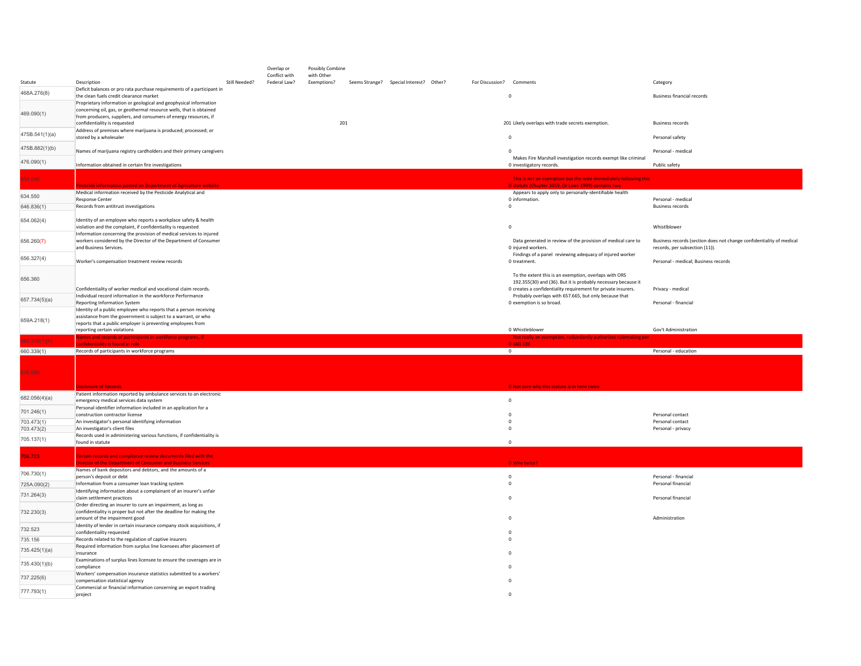|                             |                                                                                                                                                                                                              |               | Overlap or                    | Possibly Combine                 |                                         |                          |                                                                                                                                                                                         |                                                                                                        |
|-----------------------------|--------------------------------------------------------------------------------------------------------------------------------------------------------------------------------------------------------------|---------------|-------------------------------|----------------------------------|-----------------------------------------|--------------------------|-----------------------------------------------------------------------------------------------------------------------------------------------------------------------------------------|--------------------------------------------------------------------------------------------------------|
| Statute                     | Description                                                                                                                                                                                                  | Still Needed? | Conflict with<br>Federal Law? | with Other<br><b>Exemptions?</b> | Seems Strange? Special Interest? Other? | For Discussion? Comments |                                                                                                                                                                                         | Category                                                                                               |
| 468A.276(8)                 | Deficit balances or pro rata purchase requirements of a participant in<br>the clean fuels credit clearance market                                                                                            |               |                               |                                  |                                         |                          | $\mathbf 0$                                                                                                                                                                             | <b>Business financial records</b>                                                                      |
| 469.090(1)                  | Proprietary information or geological and geophysical information<br>concerning oil, gas, or geothermal resource wells, that is obtained<br>from producers, suppliers, and consumers of energy resources, if |               |                               |                                  |                                         |                          |                                                                                                                                                                                         |                                                                                                        |
|                             | confidentiality is requested                                                                                                                                                                                 |               |                               | 201                              |                                         |                          | 201 Likely overlaps with trade secrets exemption.                                                                                                                                       | <b>Business records</b>                                                                                |
| 475B.541(1)(a)              | Address of premises where marijuana is produced; processed; or<br>stored by a wholesaler                                                                                                                     |               |                               |                                  |                                         |                          | $\mathbf 0$                                                                                                                                                                             | Personal safety                                                                                        |
| 475B.882(1)(b)              | Names of marijuana registry cardholders and their primary caregivers                                                                                                                                         |               |                               |                                  |                                         |                          | $^{\circ}$                                                                                                                                                                              | Personal - medical                                                                                     |
| 476.090(1)                  | Information obtained in certain fire investigations                                                                                                                                                          |               |                               |                                  |                                         |                          | Makes Fire Marshall investigation records exempt like criminal<br>0 investigatory records.                                                                                              | Public safety                                                                                          |
| 34.048                      |                                                                                                                                                                                                              |               |                               |                                  |                                         |                          | This is not an exemption but the note immediately following this                                                                                                                        |                                                                                                        |
|                             | icide information posted on Department of Agriculture website<br>Medical information received by the Pesticide Analytical and                                                                                |               |                               |                                  |                                         |                          | 0 statute (Chapter 1059, Or Laws 1999) contains two<br>Appears to apply only to personally-identifiable health                                                                          |                                                                                                        |
| 634.550                     | <b>Response Center</b>                                                                                                                                                                                       |               |                               |                                  |                                         |                          | 0 information.                                                                                                                                                                          | Personal - medical                                                                                     |
| 646.836(1)                  | Records from antitrust investigations                                                                                                                                                                        |               |                               |                                  |                                         |                          | $\mathbb O$                                                                                                                                                                             | <b>Business records</b>                                                                                |
| 654.062(4)                  | Identity of an employee who reports a workplace safety & health<br>violation and the complaint, if confidentiality is requested                                                                              |               |                               |                                  |                                         |                          | $\Omega$                                                                                                                                                                                | Whistlblower                                                                                           |
| 656.260(7)                  | Information concerning the provision of medical services to injured<br>workers considered by the Director of the Department of Consumer<br>and Business Services.                                            |               |                               |                                  |                                         |                          | Data generated in review of the provision of medical care to<br>0 injured workers.                                                                                                      | Business records (section does not change confidentiality of medical<br>records, per subsection (11)). |
| 656.327(4)                  | Worker's compensation treatment review records                                                                                                                                                               |               |                               |                                  |                                         |                          | Findings of a panel reviewing adequacy of injured worker<br>0 treatment.                                                                                                                | Personal - medical; Business records                                                                   |
| 656.360                     | Confidentiality of worker medical and vocational claim records.                                                                                                                                              |               |                               |                                  |                                         |                          | To the extent this is an exemption, overlaps with ORS<br>192.355(30) and (36). But it is probably necessary because it<br>0 creates a confidentiality requirement for private insurers. | Privacy - medical                                                                                      |
| 657.734(5)(a)               | Individual record information in the workforce Performance<br>Reporting Information System                                                                                                                   |               |                               |                                  |                                         |                          | Probably overlaps with 657.665, but only because that<br>0 exemption is so broad.                                                                                                       | Personal - financial                                                                                   |
|                             | Identity of a public employee who reports that a person receiving                                                                                                                                            |               |                               |                                  |                                         |                          |                                                                                                                                                                                         |                                                                                                        |
| 659A.218(1)                 | assistance from the government is subject to a warrant, or who<br>reports that a public employer is preventing employees from                                                                                |               |                               |                                  |                                         |                          |                                                                                                                                                                                         |                                                                                                        |
|                             | reporting certain violations                                                                                                                                                                                 |               |                               |                                  |                                         |                          |                                                                                                                                                                                         |                                                                                                        |
|                             |                                                                                                                                                                                                              |               |                               |                                  |                                         |                          | 0 Whistleblower                                                                                                                                                                         | Gov't Administration                                                                                   |
| $0.318(1)$ (h)              | mes and records of participants in workforce programs, if                                                                                                                                                    |               |                               |                                  |                                         |                          | on, redundantly authorizes rulemaking pe                                                                                                                                                |                                                                                                        |
| 660.339(1)                  | ofidentiality is found in rule<br>Records of participants in workforce programs                                                                                                                              |               |                               |                                  |                                         |                          | 0 660.339<br>$\overline{0}$                                                                                                                                                             | Personal - education                                                                                   |
| 676.590                     |                                                                                                                                                                                                              |               |                               |                                  |                                         |                          |                                                                                                                                                                                         |                                                                                                        |
|                             | closure of Records                                                                                                                                                                                           |               |                               |                                  |                                         |                          | 0 Not sure why this statute is in here twice                                                                                                                                            |                                                                                                        |
|                             | Patient information reported by ambulance services to an electronic<br>emergency medical services data system                                                                                                |               |                               |                                  |                                         |                          | $\Omega$                                                                                                                                                                                |                                                                                                        |
| 682.056(4)(a)<br>701.246(1) | Personal identifier information included in an application for a                                                                                                                                             |               |                               |                                  |                                         |                          | $^{\circ}$                                                                                                                                                                              | Personal contact                                                                                       |
| 703.473(1)                  | construction contractor license<br>An investigator's personal identifying information                                                                                                                        |               |                               |                                  |                                         |                          | $\mathbf 0$                                                                                                                                                                             | Personal contact                                                                                       |
| 703.473(2)                  | An investigator's client files                                                                                                                                                                               |               |                               |                                  |                                         |                          | $^{\circ}$                                                                                                                                                                              | Personal - privacy                                                                                     |
| 705.137(1)                  | Records used in administering various functions, if confidentiality is<br>found in statute                                                                                                                   |               |                               |                                  |                                         |                          | $^{\circ}$                                                                                                                                                                              |                                                                                                        |
| 06.723                      | ertain records and compliance review documents filed with the<br>irector of the Department of Consumer and Business Services                                                                                 |               |                               |                                  |                                         |                          | 0 Why twice?                                                                                                                                                                            |                                                                                                        |
|                             | Names of bank depositors and debtors, and the amounts of a                                                                                                                                                   |               |                               |                                  |                                         |                          |                                                                                                                                                                                         |                                                                                                        |
| 706.730(1)                  | person's deposit or debt<br>Information from a consumer loan tracking system                                                                                                                                 |               |                               |                                  |                                         |                          | $\mathbf 0$<br>$^{\circ}$                                                                                                                                                               | Personal - financial<br>Personal financial                                                             |
| 725A.090(2)<br>731.264(3)   | Identifying information about a complainant of an insurer's unfair<br>claim settlement practices                                                                                                             |               |                               |                                  |                                         |                          | $\mathbf 0$                                                                                                                                                                             | Personal financial                                                                                     |
|                             | Order directing an insurer to cure an impairment, as long as                                                                                                                                                 |               |                               |                                  |                                         |                          |                                                                                                                                                                                         |                                                                                                        |
| 732.230(3)                  | confidentiality is proper but not after the deadline for making the<br>amount of the impairment good                                                                                                         |               |                               |                                  |                                         |                          | $\Omega$                                                                                                                                                                                | Administration                                                                                         |
| 732.523                     | Identity of lender in certain insurance company stock acquisitions, if                                                                                                                                       |               |                               |                                  |                                         |                          | $\Omega$                                                                                                                                                                                |                                                                                                        |
| 735.156                     | confidentiality requested<br>Records related to the regulation of captive insurers                                                                                                                           |               |                               |                                  |                                         |                          |                                                                                                                                                                                         |                                                                                                        |
| 735.425(1)(a)               | Required information from surplus line licensees after placement of<br>insurance                                                                                                                             |               |                               |                                  |                                         |                          |                                                                                                                                                                                         |                                                                                                        |
| 735.430(1)(b)               | Examinations of surplus lines licensee to ensure the coverages are in<br>compliance                                                                                                                          |               |                               |                                  |                                         |                          |                                                                                                                                                                                         |                                                                                                        |
| 737.225(6)                  | Workers' compensation insurance statistics submitted to a workers'                                                                                                                                           |               |                               |                                  |                                         |                          |                                                                                                                                                                                         |                                                                                                        |
| 777.793(1)                  | compensation statistical agency<br>Commercial or financial information concerning an export trading<br>project                                                                                               |               |                               |                                  |                                         |                          | $\Omega$                                                                                                                                                                                |                                                                                                        |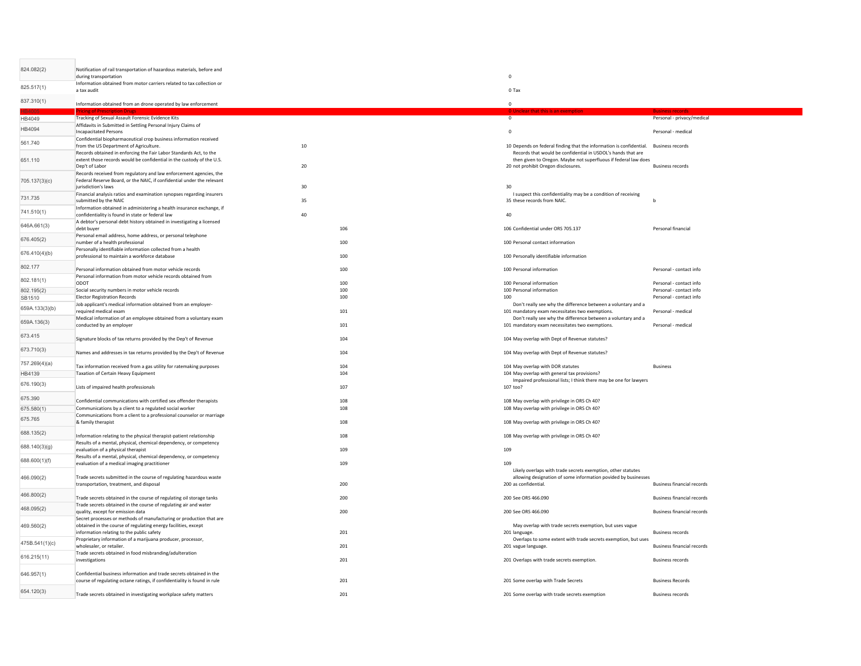| 824.082(2)           | Notification of rail transportation of hazardous materials, before and<br>during transportation                                                               |            | $\Omega$                                                                                                                                                               |                                                    |
|----------------------|---------------------------------------------------------------------------------------------------------------------------------------------------------------|------------|------------------------------------------------------------------------------------------------------------------------------------------------------------------------|----------------------------------------------------|
| 825.517(1)           | Information obtained from motor carriers related to tax collection or<br>a tax audit                                                                          |            | 0 Tax                                                                                                                                                                  |                                                    |
| 837.310(1)           | Information obtained from an drone operated by law enforcement                                                                                                |            | $\Omega$                                                                                                                                                               |                                                    |
| HB4049               | <b>Tracking of Sexual Assault Forensic Evidence Kits</b>                                                                                                      |            | $\circ$                                                                                                                                                                | Personal - privacy/medical                         |
| HB4094               | Affidavits in Submitted in Settling Personal Injury Claims of                                                                                                 |            |                                                                                                                                                                        |                                                    |
|                      | <b>Incapacitated Persons</b><br>Confidential biopharmaceutical crop business information received                                                             |            | $\mathbf 0$                                                                                                                                                            | Personal - medical                                 |
| 561.740              | from the US Department of Agriculture.                                                                                                                        | $10\,$     | 10 Depends on federal finding that the information is confidential. Business records                                                                                   |                                                    |
| 651.110              | Records obtained in enforcing the Fair Labor Standards Act, to the<br>extent those records would be confidential in the custody of the U.S.<br>Dep't of Labor | 20         | Records that would be confidential in USDOL's hands that are<br>then given to Oregon. Maybe not superfluous if federal law does<br>20 not prohibit Oregon disclosures. | <b>Business records</b>                            |
| 705.137(3)(c)        | Records received from regulatory and law enforcement agencies, the<br>Federal Reserve Board, or the NAIC, if confidential under the relevant                  |            |                                                                                                                                                                        |                                                    |
|                      | iurisdiction's laws                                                                                                                                           | 30         | 30                                                                                                                                                                     |                                                    |
| 731.735              | Financial analysis ratios and examination synopses regarding insurers<br>submitted by the NAIC                                                                | 35         | I suspect this confidentiality may be a condition of receiving<br>35 these records from NAIC.                                                                          | b                                                  |
| 741.510(1)           | Information obtained in administering a health insurance exchange, if                                                                                         |            |                                                                                                                                                                        |                                                    |
|                      | confidentiality is found in state or federal law<br>A debtor's personal debt history obtained in investigating a licensed                                     | 40         | 40                                                                                                                                                                     |                                                    |
| 646A.661(3)          | debt buyer                                                                                                                                                    | 106        | 106 Confidential under ORS 705.137                                                                                                                                     | Personal financial                                 |
| 676.405(2)           | Personal email address, home address, or personal telephone<br>number of a health professional                                                                | 100        | 100 Personal contact information                                                                                                                                       |                                                    |
| 676.410(4)(b)        | Personally identifiable information collected from a health                                                                                                   |            |                                                                                                                                                                        |                                                    |
|                      | professional to maintain a workforce database                                                                                                                 | 100        | 100 Personally identifiable information                                                                                                                                |                                                    |
| 802.177              | Personal information obtained from motor vehicle records<br>Personal information from motor vehicle records obtained from                                     | 100        | 100 Personal information                                                                                                                                               | Personal - contact info                            |
| 802.181(1)           | ODOT                                                                                                                                                          | 100        | 100 Personal information                                                                                                                                               | Personal - contact info                            |
| 802.195(2)<br>SB1510 | Social security numbers in motor vehicle records<br><b>Elector Registration Records</b>                                                                       | 100<br>100 | 100 Personal information<br>100                                                                                                                                        | Personal - contact info<br>Personal - contact info |
| 659A.133(3)(b)       | Job applicant's medical information obtained from an employer-                                                                                                |            | Don't really see why the difference between a voluntary and a                                                                                                          |                                                    |
|                      | required medical exam<br>Medical information of an employee obtained from a voluntary exam                                                                    | 101        | 101 mandatory exam necessitates two exemptions.<br>Don't really see why the difference between a voluntary and a                                                       | Personal - medical                                 |
| 659A.136(3)          | conducted by an employer                                                                                                                                      | 101        | 101 mandatory exam necessitates two exemptions.                                                                                                                        | Personal - medical                                 |
| 673.415              | Signature blocks of tax returns provided by the Dep't of Revenue                                                                                              | 104        | 104 May overlap with Dept of Revenue statutes?                                                                                                                         |                                                    |
| 673.710(3)           | Names and addresses in tax returns provided by the Dep't of Revenue                                                                                           | 104        | 104 May overlap with Dept of Revenue statutes?                                                                                                                         |                                                    |
| 757.269(4)(a)        | Tax information received from a gas utility for ratemaking purposes                                                                                           | 104        | 104 May overlap with DOR statutes                                                                                                                                      | <b>Business</b>                                    |
| HB4139               | Taxation of Certain Heavy Equipment                                                                                                                           | 104        | 104 May overlap with general tax provisions?<br>Impaired professional lists; I think there may be one for lawyers                                                      |                                                    |
| 676.190(3)           | Lists of impaired health professionals                                                                                                                        | 107        | 107 too?                                                                                                                                                               |                                                    |
| 675.390              | Confidential communications with certified sex offender therapists                                                                                            | 108        | 108 May overlap with privilege in ORS Ch 40?                                                                                                                           |                                                    |
| 675.580(1)           | Communications by a client to a regulated social worker                                                                                                       | 108        | 108 May overlap with privilege in ORS Ch 40?                                                                                                                           |                                                    |
| 675.765              | Communications from a client to a professional counselor or marriage<br>& family therapist                                                                    | 108        | 108 May overlap with privilege in ORS Ch 40?                                                                                                                           |                                                    |
| 688.135(2)           |                                                                                                                                                               |            |                                                                                                                                                                        |                                                    |
|                      | Information relating to the physical therapist-patient relationship<br>Results of a mental, physical, chemical dependency, or competency                      | 108        | 108 May overlap with privilege in ORS Ch 40?                                                                                                                           |                                                    |
| 688.140(3)(g)        | evaluation of a physical therapist                                                                                                                            | 109        | 109                                                                                                                                                                    |                                                    |
| 688.600(1)(f)        | Results of a mental, physical, chemical dependency, or competency<br>evaluation of a medical imaging practitioner                                             | 109        | 109                                                                                                                                                                    |                                                    |
| 466.090(2)           | Trade secrets submitted in the course of regulating hazardous waste<br>transportation, treatment, and disposal                                                | 200        | Likely overlaps with trade secrets exemption, other statutes<br>allowing designation of some information povided by businesses<br>200 as confidential.                 | <b>Business financial records</b>                  |
| 466.800(2)           |                                                                                                                                                               |            |                                                                                                                                                                        |                                                    |
| 468.095(2)           | Trade secrets obtained in the course of regulating oil storage tanks<br>Trade secrets obtained in the course of regulating air and water                      | 200        | 200 See ORS 466.090                                                                                                                                                    | <b>Business financial records</b>                  |
|                      | quality, except for emission data<br>Secret processes or methods of manufacturing or production that are                                                      | 200        | 200 See ORS 466.090                                                                                                                                                    | <b>Business financial records</b>                  |
| 469.560(2)           | obtained in the course of regulating energy facilities, except                                                                                                |            | May overlap with trade secrets exemption, but uses vague                                                                                                               |                                                    |
|                      | information relating to the public safety<br>Proprietary information of a marijuana producer, processor,                                                      | 201        | 201 language.<br>Overlaps to some extent with trade secrets exemption, but uses                                                                                        | <b>Business records</b>                            |
| 475B.541(1)(c)       | wholesaler, or retailer.                                                                                                                                      | 201        | 201 vague language.                                                                                                                                                    | <b>Business financial records</b>                  |
| 616.215(11)          | Trade secrets obtained in food misbranding/adulteration<br>investigations                                                                                     | 201        | 201 Overlaps with trade secrets exemption.                                                                                                                             | <b>Business records</b>                            |
|                      |                                                                                                                                                               |            |                                                                                                                                                                        |                                                    |
| 646.957(1)           | Confidential business information and trade secrets obtained in the<br>course of regulating octane ratings, if confidentiality is found in rule               | 201        | 201 Some overlap with Trade Secrets                                                                                                                                    | <b>Business Records</b>                            |
| 654.120(3)           | Trade secrets obtained in investigating workplace safety matters                                                                                              | 201        | 201 Some overlap with trade secrets exemption                                                                                                                          | <b>Business records</b>                            |
|                      |                                                                                                                                                               |            |                                                                                                                                                                        |                                                    |

 $\sim$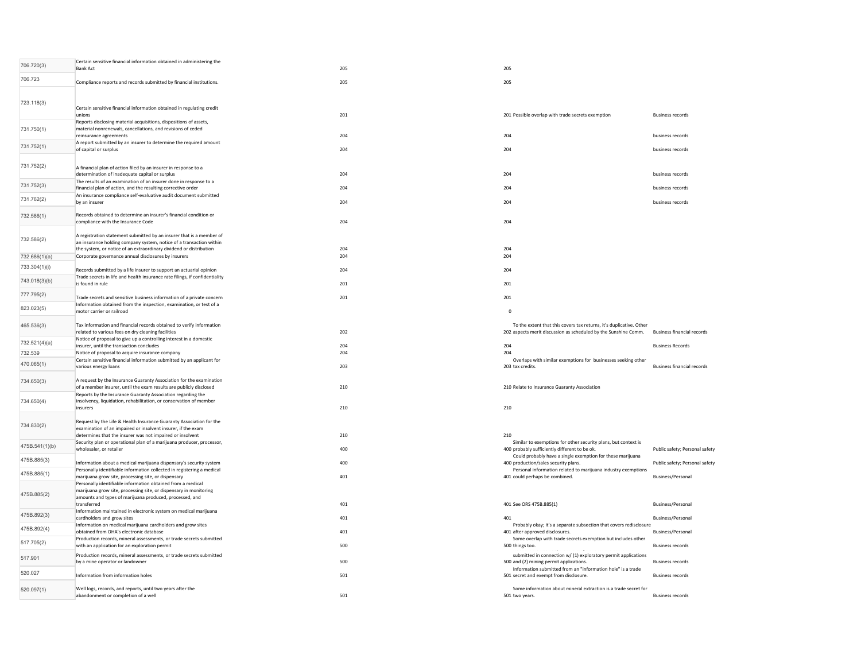| 706.720(3)     | Certain sensitive financial information obtained in administering the<br><b>Bank Act</b>                                                                                                                          | 205 | 205                                                                                                                                    |                                   |
|----------------|-------------------------------------------------------------------------------------------------------------------------------------------------------------------------------------------------------------------|-----|----------------------------------------------------------------------------------------------------------------------------------------|-----------------------------------|
| 706.723        | Compliance reports and records submitted by financial institutions.                                                                                                                                               | 205 | 205                                                                                                                                    |                                   |
| 723.118(3)     | Certain sensitive financial information obtained in regulating credit<br>unions                                                                                                                                   | 201 | 201 Possible overlap with trade secrets exemption                                                                                      | <b>Business records</b>           |
| 731.750(1)     | Reports disclosing material acquisitions, dispositions of assets,<br>material nonrenewals, cancellations, and revisions of ceded<br>reinsurance agreements                                                        | 204 | 204                                                                                                                                    | business records                  |
| 731.752(1)     | A report submitted by an insurer to determine the required amount<br>of capital or surplus                                                                                                                        | 204 | 204                                                                                                                                    | business records                  |
|                |                                                                                                                                                                                                                   |     |                                                                                                                                        |                                   |
| 731.752(2)     | A financial plan of action filed by an insurer in response to a<br>determination of inadequate capital or surplus                                                                                                 | 204 | 204                                                                                                                                    | business records                  |
| 731.752(3)     | The results of an examination of an insurer done in response to a<br>financial plan of action, and the resulting corrective order                                                                                 | 204 | 204                                                                                                                                    | business records                  |
| 731.762(2)     | An insurance compliance self-evaluative audit document submitted<br>by an insurer                                                                                                                                 | 204 | 204                                                                                                                                    | business records                  |
| 732.586(1)     | Records obtained to determine an insurer's financial condition or<br>compliance with the Insurance Code                                                                                                           | 204 | 204                                                                                                                                    |                                   |
| 732.586(2)     | A registration statement submitted by an insurer that is a member of<br>an insurance holding company system, notice of a transaction within<br>the system, or notice of an extraordinary dividend or distribution | 204 | 204                                                                                                                                    |                                   |
| 732.686(1)(a)  | Corporate governance annual disclosures by insurers                                                                                                                                                               | 204 | 204                                                                                                                                    |                                   |
| 733.304(1)(i)  | Records submitted by a life insurer to support an actuarial opinion<br>Trade secrets in life and health insurance rate filings, if confidentiality                                                                | 204 | 204                                                                                                                                    |                                   |
| 743.018(3)(b)  | is found in rule                                                                                                                                                                                                  | 201 | 201                                                                                                                                    |                                   |
| 777.795(2)     | Trade secrets and sensitive business information of a private concern<br>Information obtained from the inspection, examination, or test of a                                                                      | 201 | 201                                                                                                                                    |                                   |
| 823.023(5)     | motor carrier or railroad                                                                                                                                                                                         |     | $\Omega$                                                                                                                               |                                   |
| 465.536(3)     | Tax information and financial records obtained to verify information<br>related to various fees on dry cleaning facilities                                                                                        | 202 | To the extent that this covers tax returns, it's duplicative. Other<br>202 aspects merit discussion as scheduled by the Sunshine Comm. | <b>Business financial records</b> |
| 732.521(4)(a)  | Notice of proposal to give up a controlling interest in a domestic<br>insurer, until the transaction concludes                                                                                                    | 204 | 204                                                                                                                                    | <b>Business Records</b>           |
| 732.539        | Notice of proposal to acquire insurance company                                                                                                                                                                   | 204 | 204                                                                                                                                    |                                   |
| 470.065(1)     | Certain sensitive financial information submitted by an applicant for<br>various energy loans                                                                                                                     | 203 | Overlaps with similar exemptions for businesses seeking other<br>203 tax credits.                                                      | <b>Business financial records</b> |
| 734.650(3)     | A request by the Insurance Guaranty Association for the examination<br>of a member insurer, until the exam results are publicly disclosed                                                                         | 210 | 210 Relate to Insurance Guaranty Association                                                                                           |                                   |
| 734.650(4)     | Reports by the Insurance Guaranty Association regarding the<br>insolvency, liquidation, rehabilitation, or conservation of member<br>insurers                                                                     | 210 | 210                                                                                                                                    |                                   |
| 734.830(2)     | Request by the Life & Health Insurance Guaranty Association for the<br>examination of an impaired or insolvent insurer, if the exam<br>determines that the insurer was not impaired or insolvent                  | 210 | 210                                                                                                                                    |                                   |
| 475B.541(1)(b) | Security plan or operational plan of a marijuana producer, processor,<br>wholesaler, or retailer                                                                                                                  | 400 | Similar to exemptions for other security plans, but context is<br>400 probably sufficiently different to be ok.                        | Public safety; Personal safety    |
| 475B.885(3)    | Information about a medical marijuana dispensary's security system                                                                                                                                                | 400 | Could probably have a single exemption for these marijuana<br>400 production/sales security plans.                                     | Public safety; Personal safety    |
| 475B.885(1)    | Personally identifiable information collected in registering a medical<br>marijuana grow site, processing site, or dispensary                                                                                     | 401 | Personal information related to marijuana industry exemptions<br>401 could perhaps be combined.                                        | <b>Business/Personal</b>          |
| 475B.885(2)    | Personally identifiable information obtained from a medical<br>marijuana grow site, processing site, or dispensary in monitoring<br>amounts and types of marijuana produced, processed, and<br>transferred        | 401 | 401 See ORS 475B.885(1)                                                                                                                | <b>Business/Personal</b>          |
| 475B.892(3)    | Information maintained in electronic system on medical marijuana<br>cardholders and grow sites                                                                                                                    | 401 | 401                                                                                                                                    | <b>Business/Personal</b>          |
| 475B.892(4)    | Information on medical marijuana cardholders and grow sites<br>obtained from OHA's electronic database                                                                                                            | 401 | Probably okay; it's a separate subsection that covers redisclosure<br>401 after approved disclosures.                                  | <b>Business/Personal</b>          |
| 517.705(2)     | Production records, mineral assessments, or trade secrets submitted<br>with an application for an exploration permit                                                                                              | 500 | Some overlap with trade secrets exemption but includes other<br>500 things too.                                                        | <b>Business records</b>           |
| 517.901        | Production records, mineral assessments, or trade secrets submitted<br>by a mine operator or landowner                                                                                                            | 500 | submitted in connection w/ (1) exploratory permit applications<br>500 and (2) mining permit applications.                              | <b>Business records</b>           |
| 520.027        | Information from information holes                                                                                                                                                                                | 501 | Information submitted from an "information hole" is a trade<br>501 secret and exempt from disclosure.                                  | <b>Business records</b>           |
| 520.097(1)     | Well logs, records, and reports, until two years after the<br>abandonment or completion of a well                                                                                                                 | 501 | Some information about mineral extraction is a trade secret for<br>501 two years.                                                      | <b>Business records</b>           |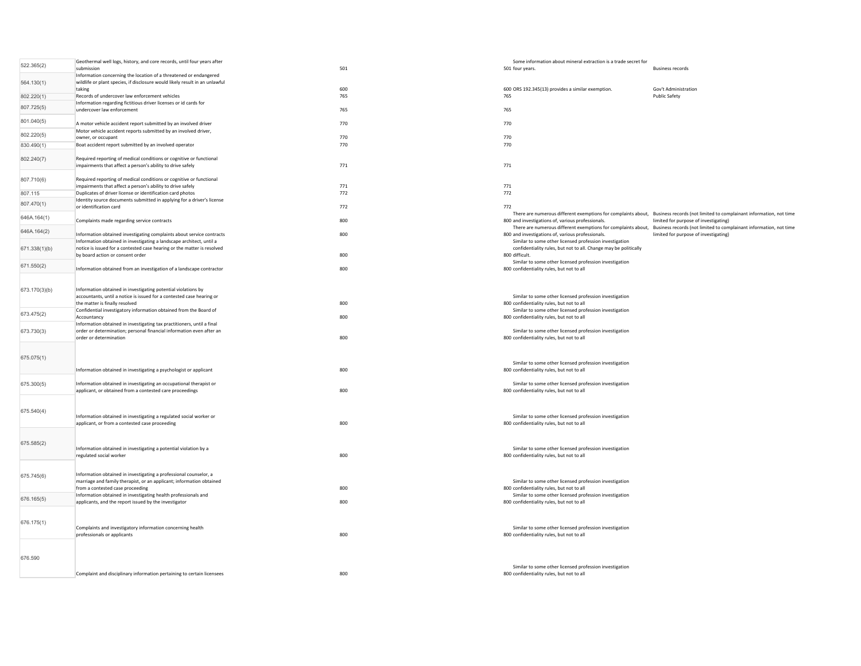| 522.365(2)    | Geothermal well logs, history, and core records, until four years after<br>submission                                                  | 501 | Some information about mineral extraction is a trade secret for<br>501 four years.                   | <b>Business records</b>                                                                                                                                                   |
|---------------|----------------------------------------------------------------------------------------------------------------------------------------|-----|------------------------------------------------------------------------------------------------------|---------------------------------------------------------------------------------------------------------------------------------------------------------------------------|
|               | Information concerning the location of a threatened or endangered                                                                      |     |                                                                                                      |                                                                                                                                                                           |
| 564.130(1)    | wildlife or plant species, if disclosure would likely result in an unlawful<br>taking                                                  | 600 | 600 ORS 192.345(13) provides a similar exemption.                                                    | Gov't Administration                                                                                                                                                      |
| 802.220(1)    | Records of undercover law enforcement vehicles                                                                                         | 765 | 765                                                                                                  | Public Safety                                                                                                                                                             |
| 807.725(5)    | Information regarding fictitious driver licenses or id cards for<br>undercover law enforcement                                         | 765 | 765                                                                                                  |                                                                                                                                                                           |
|               |                                                                                                                                        |     |                                                                                                      |                                                                                                                                                                           |
| 801.040(5)    | A motor vehicle accident report submitted by an involved driver                                                                        | 770 | 770                                                                                                  |                                                                                                                                                                           |
| 802.220(5)    | Motor vehicle accident reports submitted by an involved driver,<br>owner, or occupant                                                  | 770 | 770                                                                                                  |                                                                                                                                                                           |
| 830.490(1)    | Boat accident report submitted by an involved operator                                                                                 | 770 | 770                                                                                                  |                                                                                                                                                                           |
| 802.240(7)    | Required reporting of medical conditions or cognitive or functional                                                                    |     |                                                                                                      |                                                                                                                                                                           |
|               | impairments that affect a person's ability to drive safely                                                                             | 771 | 771                                                                                                  |                                                                                                                                                                           |
|               |                                                                                                                                        |     |                                                                                                      |                                                                                                                                                                           |
| 807.710(6)    | Required reporting of medical conditions or cognitive or functional<br>impairments that affect a person's ability to drive safely      | 771 | 771                                                                                                  |                                                                                                                                                                           |
| 807.115       | Duplicates of driver license or identification card photos                                                                             | 772 | 772                                                                                                  |                                                                                                                                                                           |
| 807.470(1)    | Identity source documents submitted in applying for a driver's license<br>or identification card                                       | 772 | 772                                                                                                  |                                                                                                                                                                           |
| 646A.164(1)   |                                                                                                                                        |     |                                                                                                      | There are numerous different exemptions for complaints about, Business records (not limited to complainant information, not time                                          |
|               | Complaints made regarding service contracts                                                                                            | 800 | 800 and investigations of, various professionals.                                                    | limited for purpose of investigating)<br>There are numerous different exemptions for complaints about, Business records (not limited to complainant information, not time |
| 646A.164(2)   | Information obtained investigating complaints about service contracts                                                                  | 800 | 800 and investigations of, various professionals.                                                    | limited for purpose of investigating)                                                                                                                                     |
|               | Information obtained in investigating a landscape architect, until a                                                                   |     | Similar to some other licensed profession investigation                                              |                                                                                                                                                                           |
| 671.338(1)(b) | notice is issued for a contested case hearing or the matter is resolved<br>by board action or consent order                            | 800 | confidentiality rules, but not to all. Change may be politically<br>800 difficult                    |                                                                                                                                                                           |
| 671.550(2)    |                                                                                                                                        |     | Similar to some other licensed profession investigation                                              |                                                                                                                                                                           |
|               | Information obtained from an investigation of a landscape contractor                                                                   | 800 | 800 confidentiality rules, but not to all                                                            |                                                                                                                                                                           |
|               |                                                                                                                                        |     |                                                                                                      |                                                                                                                                                                           |
| 673.170(3)(b) | Information obtained in investigating potential violations by<br>accountants, until a notice is issued for a contested case hearing or |     | Similar to some other licensed profession investigation                                              |                                                                                                                                                                           |
|               | the matter is finally resolved                                                                                                         | 800 | 800 confidentiality rules, but not to all                                                            |                                                                                                                                                                           |
| 673.475(2)    | Confidential investigatory information obtained from the Board of                                                                      | 800 | Similar to some other licensed profession investigation                                              |                                                                                                                                                                           |
|               | Accountancy<br>Information obtained in investigating tax practitioners, until a final                                                  |     | 800 confidentiality rules, but not to all                                                            |                                                                                                                                                                           |
| 673.730(3)    | order or determination; personal financial information even after an                                                                   |     | Similar to some other licensed profession investigation                                              |                                                                                                                                                                           |
|               | order or determination                                                                                                                 | 800 | 800 confidentiality rules, but not to all                                                            |                                                                                                                                                                           |
|               |                                                                                                                                        |     |                                                                                                      |                                                                                                                                                                           |
| 675.075(1)    |                                                                                                                                        |     | Similar to some other licensed profession investigation                                              |                                                                                                                                                                           |
|               | Information obtained in investigating a psychologist or applicant                                                                      | 800 | 800 confidentiality rules, but not to all                                                            |                                                                                                                                                                           |
| 675.300(5)    | Information obtained in investigating an occupational therapist or                                                                     |     | Similar to some other licensed profession investigation                                              |                                                                                                                                                                           |
|               | applicant, or obtained from a contested care proceedings                                                                               | 800 | 800 confidentiality rules, but not to all                                                            |                                                                                                                                                                           |
|               |                                                                                                                                        |     |                                                                                                      |                                                                                                                                                                           |
| 675.540(4)    | Information obtained in investigating a regulated social worker or                                                                     |     | Similar to some other licensed profession investigation                                              |                                                                                                                                                                           |
|               | applicant, or from a contested case proceeding                                                                                         | 800 | 800 confidentiality rules, but not to all                                                            |                                                                                                                                                                           |
|               |                                                                                                                                        |     |                                                                                                      |                                                                                                                                                                           |
| 675.585(2)    |                                                                                                                                        |     |                                                                                                      |                                                                                                                                                                           |
|               | Information obtained in investigating a potential violation by a<br>regulated social worker                                            | 800 | Similar to some other licensed profession investigation<br>800 confidentiality rules, but not to all |                                                                                                                                                                           |
|               |                                                                                                                                        |     |                                                                                                      |                                                                                                                                                                           |
| 675.745(6)    | Information obtained in investigating a professional counselor, a                                                                      |     |                                                                                                      |                                                                                                                                                                           |
|               | marriage and family therapist, or an applicant; information obtained                                                                   |     | Similar to some other licensed profession investigation                                              |                                                                                                                                                                           |
|               | from a contested case proceeding<br>Information obtained in investigating health professionals and                                     | 800 | 800 confidentiality rules, but not to all<br>Similar to some other licensed profession investigation |                                                                                                                                                                           |
| 676.165(5)    | applicants, and the report issued by the investigator                                                                                  | 800 | 800 confidentiality rules, but not to all                                                            |                                                                                                                                                                           |
|               |                                                                                                                                        |     |                                                                                                      |                                                                                                                                                                           |
| 676.175(1)    |                                                                                                                                        |     |                                                                                                      |                                                                                                                                                                           |
|               | Complaints and investigatory information concerning health<br>professionals or applicants                                              | 800 | Similar to some other licensed profession investigation<br>800 confidentiality rules, but not to all |                                                                                                                                                                           |
|               |                                                                                                                                        |     |                                                                                                      |                                                                                                                                                                           |
|               |                                                                                                                                        |     |                                                                                                      |                                                                                                                                                                           |
| 676.590       |                                                                                                                                        |     |                                                                                                      |                                                                                                                                                                           |
|               | Complaint and disciplinary information pertaining to certain licensees                                                                 | 800 | Similar to some other licensed profession investigation<br>800 confidentiality rules, but not to all |                                                                                                                                                                           |
|               |                                                                                                                                        |     |                                                                                                      |                                                                                                                                                                           |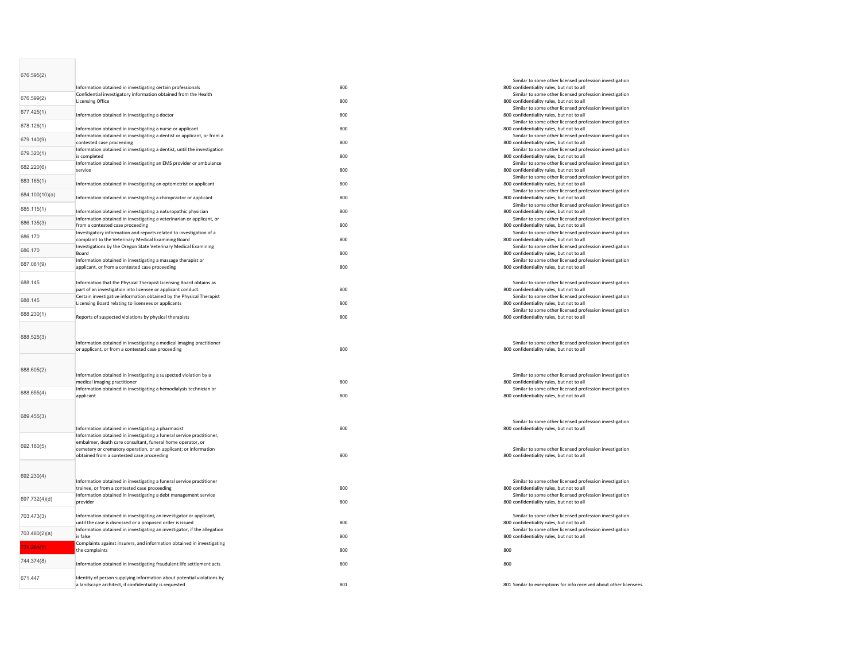| 676.595(2)     | Information obtained in investigating certain professionals                                                                          | 800 | Similar to some other licensed profession investigation<br>800 confidentiality rules, but not to all |
|----------------|--------------------------------------------------------------------------------------------------------------------------------------|-----|------------------------------------------------------------------------------------------------------|
| 676.599(2)     | Confidential investigatory information obtained from the Health<br><b>Licensing Office</b>                                           | 800 | Similar to some other licensed profession investigation<br>800 confidentiality rules, but not to all |
| 677.425(1)     | Information obtained in investigating a doctor                                                                                       | 800 | Similar to some other licensed profession investigation<br>800 confidentiality rules, but not to all |
| 678.126(1)     | Information obtained in investigating a nurse or applicant                                                                           | 800 | Similar to some other licensed profession investigation<br>800 confidentiality rules, but not to all |
| 679.140(9)     | Information obtained in investigating a dentist or applicant, or from a<br>contested case proceeding                                 | 800 | Similar to some other licensed profession investigation<br>800 confidentiality rules, but not to all |
| 679.320(1)     | Information obtained in investigating a dentist, until the investigation<br>is completed                                             | 800 | Similar to some other licensed profession investigation<br>800 confidentiality rules, but not to all |
| 682.220(6)     | Information obtained in investigating an EMS provider or ambulance<br>service                                                        | 800 | Similar to some other licensed profession investigation<br>800 confidentiality rules, but not to all |
| 683.165(1)     | Information obtained in investigating an optometrist or applicant                                                                    | 800 | Similar to some other licensed profession investigation<br>800 confidentiality rules, but not to all |
| 684.100(10)(a) | Information obtained in investigating a chiropractor or applicant                                                                    | 800 | Similar to some other licensed profession investigation<br>800 confidentiality rules, but not to all |
| 685.115(1)     | Information obtained in investigating a naturopathic physician                                                                       | 800 | Similar to some other licensed profession investigation<br>800 confidentiality rules, but not to all |
| 686.135(3)     | Information obtained in investigating a veterinarian or applicant, or<br>from a contested case proceeding                            | 800 | Similar to some other licensed profession investigation<br>800 confidentiality rules, but not to all |
| 686.170        | Investigatory information and reports related to investigation of a<br>complaint to the Veterinary Medical Examining Board           | 800 | Similar to some other licensed profession investigation<br>800 confidentiality rules, but not to all |
| 686.170        | Investigations by the Oregon State Veterinary Medical Examining<br>Board                                                             | 800 | Similar to some other licensed profession investigation<br>800 confidentiality rules, but not to all |
| 687.081(9)     | Information obtained in investigating a massage therapist or<br>applicant, or from a contested case proceeding                       | 800 | Similar to some other licensed profession investigation<br>800 confidentiality rules, but not to all |
| 688.145        | Information that the Physical Therapist Licensing Board obtains as                                                                   |     | Similar to some other licensed profession investigation                                              |
|                | part of an investigation into licensee or applicant conduct.<br>Certain investigative information obtained by the Physical Therapist | 800 | 800 confidentiality rules, but not to all<br>Similar to some other licensed profession investigation |
| 688.145        | Licensing Board relating to licensees or applicants                                                                                  | 800 | 800 confidentiality rules, but not to all<br>Similar to some other licensed profession investigation |
| 688.230(1)     | Reports of suspected violations by physical therapists                                                                               | 800 | 800 confidentiality rules, but not to all                                                            |
| 688.525(3)     | Information obtained in investigating a medical imaging practitioner<br>or applicant, or from a contested case proceeding            | 800 | Similar to some other licensed profession investigation<br>800 confidentiality rules, but not to all |
|                |                                                                                                                                      |     |                                                                                                      |
| 688.605(2)     | Information obtained in investigating a suspected violation by a                                                                     |     | Similar to some other licensed profession investigation                                              |
| 688.655(4)     | medical imaging practitioner<br>Information obtained in investigating a hemodialysis technician or                                   | 800 | 800 confidentiality rules, but not to all<br>Similar to some other licensed profession investigation |
|                | applicant                                                                                                                            | 800 | 800 confidentiality rules, but not to all                                                            |
| 689.455(3)     |                                                                                                                                      |     | Similar to some other licensed profession investigation                                              |
|                | Information obtained in investigating a pharmacist<br>Information obtained in investigating a funeral service practitioner,          | 800 | 800 confidentiality rules, but not to all                                                            |
| 692.180(5)     | embalmer, death care consultant, funeral home operator, or<br>cemetery or crematory operation, or an applicant; or information       |     | Similar to some other licensed profession investigation                                              |
|                | obtained from a contested case proceeding                                                                                            | 800 | 800 confidentiality rules, but not to all                                                            |
| 692.230(4)     | Information obtained in investigating a funeral service practitioner                                                                 |     | Similar to some other licensed profession investigation                                              |
|                | trainee, or from a contested case proceeding<br>Information obtained in investigating a debt management service                      | 800 | 800 confidentiality rules, but not to all<br>Similar to some other licensed profession investigation |
| 697.732(4)(d)  | provider                                                                                                                             | 800 | 800 confidentiality rules, but not to all                                                            |
| 703.473(3)     | Information obtained in investigating an investigator or applicant,<br>until the case is dismissed or a proposed order is issued     | 800 | Similar to some other licensed profession investigation<br>800 confidentiality rules, but not to all |
| 703.480(2)(a)  | Information obtained in investigating an investigator, if the allegation<br>is false                                                 | 800 | Similar to some other licensed profession investigation<br>800 confidentiality rules, but not to all |
| 731.264(1)     | Complaints against insurers, and information obtained in investigating<br>the complaints                                             | 800 | 800                                                                                                  |
| 744.374(8)     | Information obtained in investigating fraudulent life settlement acts                                                                | 800 | 800                                                                                                  |
| 671.447        | Identity of person supplying information about potential violations by<br>a landscape architect, if confidentiality is requested     | 801 | 801 Similar to exemptions for info received about other licensees.                                   |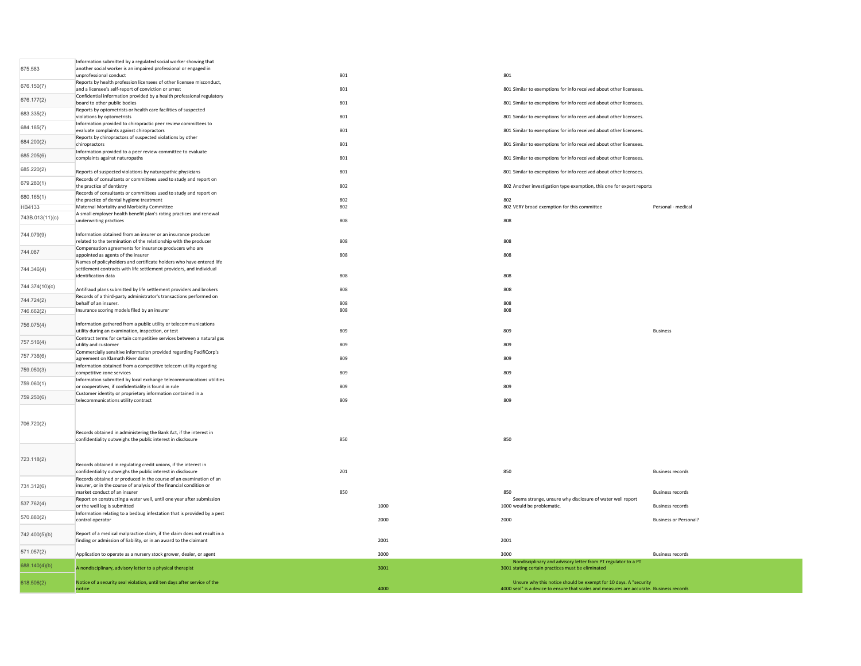|                 | Information submitted by a regulated social worker showing that<br>another social worker is an impaired professional or engaged in            |     |      |                                                                                                                                                              |                              |
|-----------------|-----------------------------------------------------------------------------------------------------------------------------------------------|-----|------|--------------------------------------------------------------------------------------------------------------------------------------------------------------|------------------------------|
| 675.583         | unprofessional conduct                                                                                                                        | 801 |      | 801                                                                                                                                                          |                              |
| 676.150(7)      | Reports by health profession licensees of other licensee misconduct,<br>and a licensee's self-report of conviction or arrest                  | 801 |      | 801 Similar to exemptions for info received about other licensees.                                                                                           |                              |
| 676.177(2)      | Confidential information provided by a health professional regulatory<br>board to other public bodies                                         | 801 |      | 801 Similar to exemptions for info received about other licensees.                                                                                           |                              |
| 683.335(2)      | Reports by optometrists or health care facilities of suspected<br>violations by optometrists                                                  | 801 |      | 801 Similar to exemptions for info received about other licensees.                                                                                           |                              |
| 684.185(7)      | Information provided to chiropractic peer review committees to<br>evaluate complaints against chiropractors                                   | 801 |      | 801 Similar to exemptions for info received about other licensees.                                                                                           |                              |
| 684.200(2)      | Reports by chiropractors of suspected violations by other                                                                                     |     |      |                                                                                                                                                              |                              |
|                 | chiropractors<br>Information provided to a peer review committee to evaluate                                                                  | 801 |      | 801 Similar to exemptions for info received about other licensees.                                                                                           |                              |
| 685.205(6)      | complaints against naturopaths                                                                                                                | 801 |      | 801 Similar to exemptions for info received about other licensees.                                                                                           |                              |
| 685.220(2)      | Reports of suspected violations by naturopathic physicians<br>Records of consultants or committees used to study and report on                | 801 |      | 801 Similar to exemptions for info received about other licensees.                                                                                           |                              |
| 679.280(1)      | the practice of dentistry                                                                                                                     | 802 |      | 802 Another investigation type exemption, this one for expert reports                                                                                        |                              |
| 680.165(1)      | Records of consultants or committees used to study and report on<br>the practice of dental hygiene treatment                                  | 802 |      | 802                                                                                                                                                          |                              |
| HB4133          | Maternal Mortality and Morbidity Committee                                                                                                    | 802 |      | 802 VERY broad exemption for this committee                                                                                                                  | Personal - medical           |
| 743B.013(11)(c) | A small employer health benefit plan's rating practices and renewal<br>underwriting practices                                                 | 808 |      | 808                                                                                                                                                          |                              |
| 744.079(9)      | Information obtained from an insurer or an insurance producer                                                                                 |     |      |                                                                                                                                                              |                              |
|                 | related to the termination of the relationship with the producer<br>Compensation agreements for insurance producers who are                   | 808 |      | 808                                                                                                                                                          |                              |
| 744.087         | appointed as agents of the insurer                                                                                                            | 808 |      | 808                                                                                                                                                          |                              |
| 744.346(4)      | Names of policyholders and certificate holders who have entered life<br>settlement contracts with life settlement providers, and individual   |     |      |                                                                                                                                                              |                              |
|                 | identification data                                                                                                                           | 808 |      | 808                                                                                                                                                          |                              |
| 744.374(10)(c)  | Antifraud plans submitted by life settlement providers and brokers                                                                            | 808 |      | 808                                                                                                                                                          |                              |
| 744.724(2)      | Records of a third-party administrator's transactions performed on<br>behalf of an insurer.                                                   | 808 |      | 808                                                                                                                                                          |                              |
| 746.662(2)      | Insurance scoring models filed by an insurer                                                                                                  | 808 |      | 808                                                                                                                                                          |                              |
| 756.075(4)      | Information gathered from a public utility or telecommunications                                                                              |     |      |                                                                                                                                                              |                              |
|                 | utility during an examination, inspection, or test<br>Contract terms for certain competitive services between a natural gas                   | 809 |      | 809                                                                                                                                                          | <b>Business</b>              |
| 757.516(4)      | utility and customer<br>Commercially sensitive information provided regarding PacifiCorp's                                                    | 809 |      | 809                                                                                                                                                          |                              |
| 757.736(6)      | agreement on Klamath River dams<br>Information obtained from a competitive telecom utility regarding                                          | 809 |      | 809                                                                                                                                                          |                              |
| 759.050(3)      | competitive zone services                                                                                                                     | 809 |      | 809                                                                                                                                                          |                              |
| 759.060(1)      | Information submitted by local exchange telecommunications utilities<br>or cooperatives, if confidentiality is found in rule                  | 809 |      | 809                                                                                                                                                          |                              |
| 759.250(6)      | Customer identity or proprietary information contained in a<br>telecommunications utility contract                                            | 809 |      | 809                                                                                                                                                          |                              |
|                 |                                                                                                                                               |     |      |                                                                                                                                                              |                              |
| 706.720(2)      |                                                                                                                                               |     |      |                                                                                                                                                              |                              |
|                 | Records obtained in administering the Bank Act, if the interest in                                                                            |     |      |                                                                                                                                                              |                              |
|                 | confidentiality outweighs the public interest in disclosure                                                                                   | 850 |      | 850                                                                                                                                                          |                              |
| 723.118(2)      |                                                                                                                                               |     |      |                                                                                                                                                              |                              |
|                 | Records obtained in regulating credit unions, if the interest in                                                                              | 201 |      | 850                                                                                                                                                          | <b>Business records</b>      |
|                 | confidentiality outweighs the public interest in disclosure<br>Records obtained or produced in the course of an examination of an             |     |      |                                                                                                                                                              |                              |
| 731.312(6)      | insurer, or in the course of analysis of the financial condition or<br>market conduct of an insurer                                           | 850 |      | 850                                                                                                                                                          | <b>Business records</b>      |
| 537.762(4)      | Report on constructing a water well, until one year after submission<br>or the well log is submitted                                          |     | 1000 | Seems strange, unsure why disclosure of water well report                                                                                                    | <b>Business records</b>      |
|                 | Information relating to a bedbug infestation that is provided by a pest                                                                       |     |      | 1000 would be problematic.                                                                                                                                   |                              |
| 570.880(2)      | control operator                                                                                                                              |     | 2000 | 2000                                                                                                                                                         | <b>Business or Personal?</b> |
| 742.400(5)(b)   | Report of a medical maloractice claim, if the claim does not result in a<br>finding or admission of liability, or in an award to the claimant |     | 2001 | 2001                                                                                                                                                         |                              |
| 571.057(2)      |                                                                                                                                               |     |      |                                                                                                                                                              |                              |
|                 | Application to operate as a nursery stock grower, dealer, or agent                                                                            |     | 3000 | 3000<br>Nondisciplinary and advisory letter from PT regulator to a PT                                                                                        | <b>Business records</b>      |
| 688.140(4)(b)   | A nondisciplinary, advisory letter to a physical therapist                                                                                    |     | 3001 | 3001 stating certain practices must be eliminated                                                                                                            |                              |
| 618.506(2)      | Notice of a security seal violation, until ten days after service of the<br>notice                                                            |     | 4000 | Unsure why this notice should be exempt for 10 days. A "security<br>4000 seal" is a device to ensure that scales and measures are accurate. Business records |                              |
|                 |                                                                                                                                               |     |      |                                                                                                                                                              |                              |